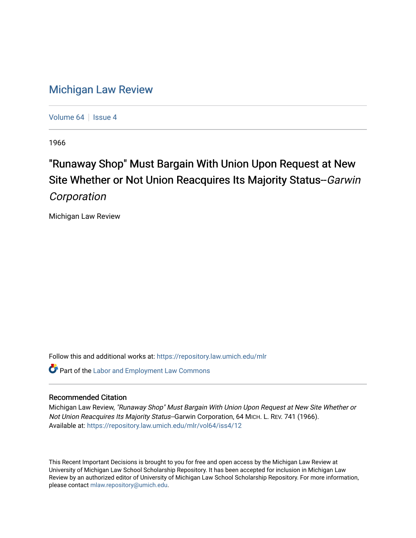## [Michigan Law Review](https://repository.law.umich.edu/mlr)

[Volume 64](https://repository.law.umich.edu/mlr/vol64) | [Issue 4](https://repository.law.umich.edu/mlr/vol64/iss4)

1966

# "Runaway Shop" Must Bargain With Union Upon Request at New Site Whether or Not Union Reacquires Its Majority Status--Garwin **Corporation**

Michigan Law Review

Follow this and additional works at: [https://repository.law.umich.edu/mlr](https://repository.law.umich.edu/mlr?utm_source=repository.law.umich.edu%2Fmlr%2Fvol64%2Fiss4%2F12&utm_medium=PDF&utm_campaign=PDFCoverPages) 

**Part of the [Labor and Employment Law Commons](http://network.bepress.com/hgg/discipline/909?utm_source=repository.law.umich.edu%2Fmlr%2Fvol64%2Fiss4%2F12&utm_medium=PDF&utm_campaign=PDFCoverPages)** 

### Recommended Citation

Michigan Law Review, "Runaway Shop" Must Bargain With Union Upon Request at New Site Whether or Not Union Reacquires Its Majority Status--Garwin Corporation, 64 MICH. L. REV. 741 (1966). Available at: [https://repository.law.umich.edu/mlr/vol64/iss4/12](https://repository.law.umich.edu/mlr/vol64/iss4/12?utm_source=repository.law.umich.edu%2Fmlr%2Fvol64%2Fiss4%2F12&utm_medium=PDF&utm_campaign=PDFCoverPages) 

This Recent Important Decisions is brought to you for free and open access by the Michigan Law Review at University of Michigan Law School Scholarship Repository. It has been accepted for inclusion in Michigan Law Review by an authorized editor of University of Michigan Law School Scholarship Repository. For more information, please contact [mlaw.repository@umich.edu.](mailto:mlaw.repository@umich.edu)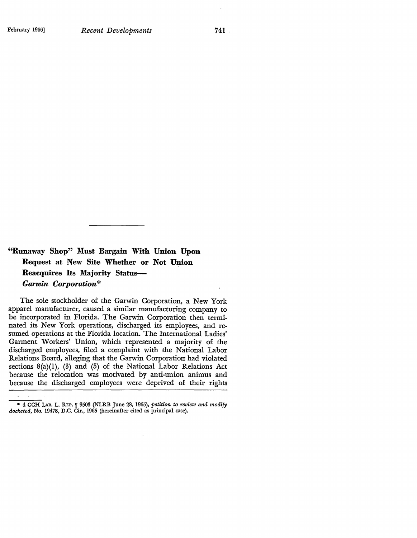741

### **"Runaway Shop" Must** Bargain **With Union Upon Request** at New Site Whether **or Not Union Reacquires Its Majority Status-***Garwin Corporation\**

The sole stockholder of the Garwin Corporation, a New York apparel manufacturer, caused a similar manufacturing company to be incorporated in Florida. The Garwin Corporation then terminated its New York operations, discharged its employees, and resumed operations at the Florida location. The International Ladies' Garment Workers' Union, which represented a majority of the discharged employees, filed a complaint with the National Labor Relations Board, alleging that the Garwin Corporation had violated sections  $8(a)(1)$ ,  $(3)$  and  $(5)$  of the National Labor Relations Act because the relocation was motivated by anti-union animus and because the discharged employees were deprived of their rights

<sup>• 4</sup> CCH I.AB. L. REP. If 950!1 (NLRB June 28, 1965), *petition to review and modify docketed,* No. 19478, D.C. Cir., 1965 (hereinafter cited as principal case).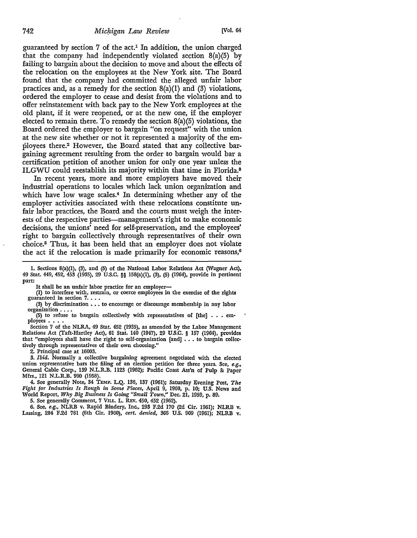guaranteed by section  $7$  of the act.<sup>1</sup> In addition, the union charged that the company had independently violated section 8(a)(5) by failing to bargain about the decision to move and about the effects of the relocation on the employees at the New York site. The Board found that the company had committed the alleged unfair labor practices and, as a remedy for the section  $8(a)(1)$  and  $(3)$  violations, ordered the employer to cease and desist from the violations and to offer reinstatement with back pay to the New York employees at the old plant, if it were reopened, or at the new one, if the employer elected to remain there. To remedy the section 8(a)(5) violations, the Board ordered the employer to bargain "on request" with the union at the new site whether or not it represented a majority of the employees there.2 However, the Board stated that any collective bargaining agreement resulting from the order to bargain would bar a certification petition of another union for only one year unless the ILGWU could reestablish its majority within that time in Florida.<sup>8</sup>

In recent years, more and more employers have moved their industrial operations to locales which lack union organization and which have low wage scales.<sup>4</sup> In determining whether any of the employer activities associated with these relocations constitute unfair labor practices, the Board and the courts must weigh the interests of the respective parties--management's right to make economic decisions, the unions' need for self-preservation, and the employees' right to bargain collectively through representatives of their own choice.5 Thus, it has been held that an employer does not violate the act if the relocation is made primarily for economic reasons, $\theta$ 

I. Sections 8(a)(l), (3), and (5) of the National Labor Relations Act (Wagner Act), 49 Stat. 449, 452, 453 (1935), 29 U.S.C. §§ 158(a)(l), (3), (5) (1964), provide in pertinent part:

It shall be an unfair labor practice for an employer-

(1) to interfere with, restrain, or coerce employees in the exercise of the rights guaranteed in section  $7. \ldots$ 

(3) by discrimination  $\ldots$  to encourage or discourage membership in any labor organization  $\ldots$ .

 $(5)$  to refuse to bargain collectively with representatives of [the]  $\ldots$  employees  $\ldots$ .

Section 7 of the NLRA, 49 Stat. 452 (1935), as amended by the Labor Management Relations Act (Taft-Hartley Act), 61 Stat. 140 (1947), 29 U.S.C. § 157 (1964), provides that "employees shall have the right to self-organization [and]  $\ldots$  to bargain collectively through representatives of their own choosing."

2. Principal case at 16003.

3. *Ibid.* Normally a collective bargaining agreement negotiated with the elected union representative bars the filing of an election petition for three years. See, *e.g.,*  General Cable Corp., 139 N.L.R.B. 1123 (1962); Pacific Coast Ass'n of Pulp 8: Paper Mfrs., 121 N.L.R.B. 990 (1958).

4. See generally Note, 34 TEMP. L.Q. 136, 137 (1961): Saturday Evening Post, *The Fight for Industries Is Rough* in *Some Places,* April 9, 1960, p. 10; U.S. News and World Report, Why *Big Business Is* Going *"Small Town,"* Dec. 21, 1959, p. 89.

5. See generally Comment, 7 VILL. L. REv. 450, 452 (1962).

6. See, *e.g.,* NLRB v. Rapid Bindery, Inc., 293 F.2d 170 {2d Cir. 1961): NLRB v. Lassing, 284 F.2d 781 (6th Cir. 1960), *cert. denied,* 366 U.S. 909 (1961): NLRB v,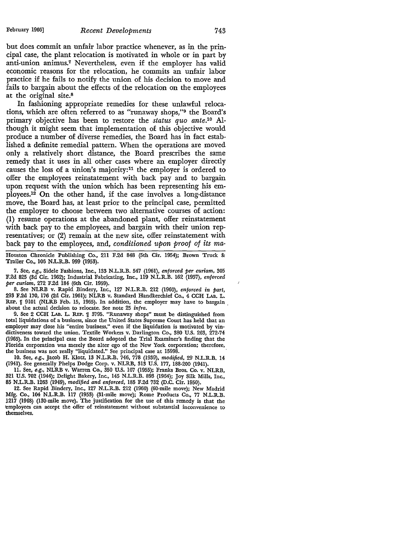but does commit an unfair labor practice whenever, as in the principal case, the plant relocation is motivated in whole or in part by anti-union animus.7 Nevertheless, even if the employer has valid economic reasons for the relocation, he commits an unfair labor practice if he fails to notify the union of his decision to move and fails to bargain about the effects of the relocation on the employees at the original site.<sup>8</sup>

In fashioning appropriate remedies for these unlawful relocations, which are often referred to as "runaway shops,"9 the Board's primary objective has been to restore the *status quo ante.10* Although it might seem that implementation of this objective would produce a number of diverse remedies, the Board has in fact established a definite remedial pattern. When the operations are moved only a relatively short distance, the Board prescribes the same remedy that it uses in all other cases where an employer directly causes the loss of a union's majority:11 the employer is ordered to offer the employees reinstatement with back pay and to bargain upon request with the union which has been representing his employees.12 On the other hand, if the case involves a long-distance move, the Board has, at least prior to the principal case, permitted the employer to choose between two alternative courses of action: (1) resume operations at the abandoned plant, offer reinstatement with back pay to the employees, and bargain with their union representatives; or (2) remain at the new site, offer reinstatement with back pay to the employees, and, *conditioned upon proof of its ma-*

Houston Chronicle Publishing Co., 211 F.2d 848 (5th Cir. 1954); Brown Truck & Trailer Co., 106 N.L.R.B. 999 (1953).

7. See, *e.g.,* Sidele Fashions, Inc., 133 N.L.R.B. 547 (1961), *enforced per curiam,* 305 F.2d 825 (3d Cir. 1962); Industrial Fabricating, Inc., 119 N.L.R.B. 162 (1957), *enforced per curiam,* 272 F.2d 184- (6th Cir. 1959).

8. See NLRB v. Rapid Bindery, Inc., 127 N.L.R.B. 212 (1960), *enforced in part,*  293 F.2d 170, 176 (2d Cir. 1961); NLRB v. Standard Handkerchief Co., 4 CCH LAB. L. REP.  $\parallel$  9101 (NLRB Feb. 15, 1965). In addition, the employer may have to bargain. about the actual decision to relocate. See note 25 *infra.* 

9. See 2 CCH LAB. L. REP. 1 3795. "Runaway shops" must be distinguished from total liquidations of a business, since the United States Supreme Court has held that an employer may close his "entire business," even if the liquidation is motivated by vindictiveness toward the union. Textile Workers \_v. Darlington Co., 380 U.S. 263, 272-74 (1965). In the principal case the Board adopted the Trial Examiner's finding that the Florida corporation was merely the alter ego of the New York corporation; therefore, the business was not really "liquidated." See principal case at 15998.

10. See, *e.g.,* Jacob H. Klotz, 13 N.L.R.B. 746, 778 (1939), *modified,* 29 N.L.R.B. 14 (1941). See generally Phelps Dodge Corp. v. NLRB, 313 U.S. 177, 188-200 (1941).

11. See, *e.g.,* NLRB v. Warren Co., 350 U.S. 107 (1955); Franks Bros. Co. v. NLRB, 321 U.S. 702 (1944); Delight Bakery, Inc., 145 N.L.R.B. 893 (1964); Joy Silk Mills, Inc., 85 N.L.R.B. 1263 (1949), *modified and enforced,* 185 F.2d 732 (D.C. Cir. 1950).

12. See Rapid Bindery, Inc., 127 N.L.R.B. 212 (1960) (60-mile move); New Madrid Mfg. Co., 104 N.L.R.B. 117 (1953) (31-mile move); Rome Products Co., 77 N.L.R.B. 1217 (1948) (130-mile move). The justification for the use of this remedy is that the employees can accept the offer of reinstatement without substantial inconvenience to themselves.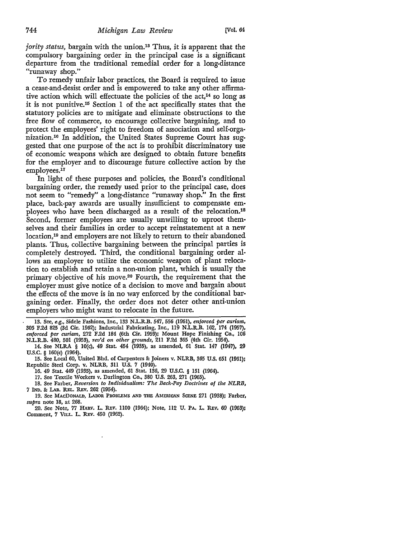*jority status,* bargain with the union.18 Thus, it is apparent that the compulsory bargaining order in the principal case is a significant departure from the traditional remedial order for a long-distance "runaway shop."

To remedy unfair labor practices, the Board is required to issue a cease-and-desist order and is empowered to take any other affirmative action which will effectuate the policies of the act,<sup>14</sup> so long as it is not punitive.15 Section 1 of the act specifically states that the statutory policies are to mitigate and eliminate obstructions to the free flow of commerce, to encourage collective bargaining, and to protect the employees' right to freedom of association and self-organization.16 In addition, the United States Supreme Court has suggested that one purpose of the act is to prohibit discriminatory use of economic weapons which are designed to obtain future benefits for the employer and to discourage future collective action by the employees.<sup>17</sup>

In light of these purposes and policies, the Board's conditional bargaining order, the remedy used prior to the principal case, does not seem to "remedy" a long-distance "runaway shop." In the first place, back-pay awards are usually insufficient to compensate employees who have been discharged as a result of the relocation.18 Second, former employees are usually unwilling to uproot themselves and their families in order to accept reinstatement at a new location,19 and employers are not likely to return to their abandoned plants. Thus, collective bargaining between the principal parties is completely destroyed. Third, the conditional bargaining order allows an employer to utilize the economic weapon of plant relocation to establish and retain a non-union plant, which is usually the primary objective of his move.2° Fourth, the requirement that the employer must give notice of a decision to move and bargain about the effects of the move is in no way enforced by the conditional bargaining order. Finally, the order does not deter other anti-union employers who might want to relocate in the future.

<sup>13.</sup> See, *e.g.,* Sidele Fashions, Inc., 133 N.L.R.B. 547, 556 (1961), *enforced per curiam,*  305 F.2d 825 (3d Cir. 1962); Industrial Fabricating, Inc., 119 N.L.R.B. 162, 174 (1957), *enforced per curiam,* 272 F.2d 184 (6th Cir. 1959); Mount Hope Finishing Co., 106 N.L.R.B. 480, 501 (1953), *rev'd on other grounds,* 211 F.2d 365 (4th Cir, 1954).

<sup>14.</sup> See NLRA § IO(c), 49 Stat. 454 (1935), as amended, 61 Stat. 147 (1947), 29 U.S.C. § 160(c) (1964).

<sup>15.</sup> See Local 60, United Bhd. of Carpenters & Joiners v. NLRB, 365 U.S. 651 (1961); Republic Steel Corp. v. NLRB, 311 U.S. 7 (1940).

<sup>16. 49</sup> Stat. 449 (1935), as amended, 61 Stat. 136, 29 U.S.C. § 151 (1964).

<sup>17.</sup> See Textile Workers v. Darlington Co., 380 U.S. 263, 271 (1965).

<sup>18.</sup> See Farber, *Reversion to Individualism: The Back-Pay Doctrines of the NLRB,*  7 !ND. & LAB. REL. REv. 262 (1954).

<sup>19.</sup> See MAcDONALD, LABOR PROBLEMS AND TIIE AMERICAN SCENE 271 (1938); Farber, *supra* note 18, at 268.

<sup>20.</sup> Sec Note, 77 HARV. L. REV. 1100 (1964); Note, 112 u. PA. L. REv. 69 (1963): Comment, 7 VILL. L. REv. 450 (1962).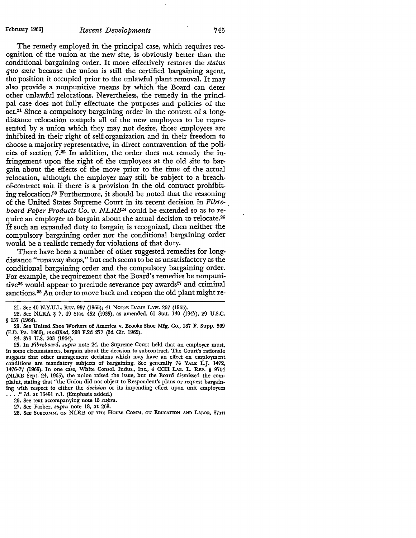### February 1966] *Recent Developments* 745

The remedy employed in the principal case, which requires recognition of the union at the new site, is obviously better than the conditional bargaining order. It more effectively restores the *status quo ante* because the union is still the certified bargaining agent, the position it occupied prior to the unlawful plant removal. It may also provide a nonpunitive means by which the Board can deter other unlawful relocations. Nevertheless, the remedy in the principal case does not fully effectuate the purposes and policies of the act.21 Since a compulsory bargaining order in the context of a longdistance relocation compels all of the new employees to be represented by a union which they may not desire, those employees are inhibited in their right of self-organization and in their freedom to choose a majority representative, in direct contravention of the policies of section 7 . 22 In addition, the order does not remedy the infringement upon the right of the employees at the old site to bargain about the effects of the move prior to the time of the actual relocation, although the employer may still be subject to a breachof-contract suit if there is a provision in the old contract prohibiting relocation.28 Furthermore, it should be noted that the reasoning of the United States Supreme Court in its recent decision in *Fibre-\_ board Paper Products Co. v. NLRB24* could be extended so as to require an employer to bargain about the actual decision to relocate.<sup>25</sup> If such an expanded duty to bargain is recognized, then neither the compulsory bargaining order nor the conditional bargaining order would be a realistic remedy for violations of that duty.

There have been a number of other suggested remedies for longdistance "runaway shops," but each seems to be as unsatisfactory as the conditional bargaining order and the compulsory bargaining order. For example, the requirement that the Board's remedies be nonpunitive $26$  would appear to preclude severance pay awards $27$  and criminal sanctions.<sup>28</sup> An order to move back and reopen the old plant might re-

24. 379 U.S. 203 (1964).

26. See text accompanying note 15 *supra.* 

27. See Farber, *supra* note 18, at 268.

28. See SUBCOMM. ON NLRB OF THE HOUSE COMM. ON EDUCATION AND LABOR, 87TH

**<sup>21.</sup>** See 40 N.Y.U.L. REv. 997 (1965); 41 NoTRE DAME LAw. 267 (1965).

<sup>22.</sup> See NLRA § 7, 49 Stat. 452 (1935), as amended, 61 Stat. 140 (1947), 29 U.S.C. § 157 (1964).

<sup>23.</sup> See United Shoe Workers of America v. Brooks Shoe Mfg. Co., 187 F. Supp. 509 (E.D. Pa. 1960), *modified,* 298 F.2d 277 (3d Cir. 1962).

<sup>25.</sup> In *Fibreboard, supra* note 24, the Supreme Court held that an employer must, in some circumstances, bargain about the decision to subcontract. The Court's rationale suggests that other management decisions which may have an effect on employment conditions are mandatory subjects of bargaining. See generally 74 YALE L.J. 1472, 1476-77 (1965). In one case, White Consol. Indus., Inc., 4 CCH LAB. L. REP. If 9704 (NLRB Sept. 24, 1965), the union raised the issue, but the Board dismissed the complaint, stating that "the Union did not object to Respondent's plans or request bargaining with respect to either the *decision* or its impending effect upon unit employees •••• " *Id.* at 16451 n.l. (Emphasis added.)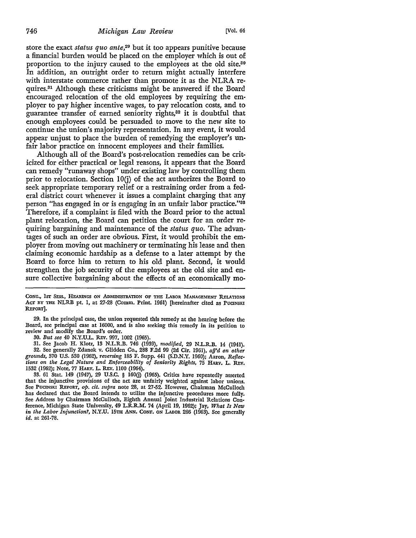store the exact *status quo ante,29* but it too appears punitive because a financial burden would be placed on the employer which is out of proportion to the injury caused to the employees at the old site.80 In addition, an outright order to return might actually interfere with interstate commerce rather than promote it as the NLRA re• quires.31 Although these criticisms might be answered if the Board encouraged relocation of the old employees by requiring the em• player to pay higher incentive wages, to pay relocation costs, and to guarantee transfer of earned seniority rights,32 it is doubtful that enough employees could be persuaded to move to the new site to continue the union's majority representation. In any event, it would appear unjust to place the burden of remedying the employer's **un**fair labor practice on innocent employees and their families.

Although all of the Board's post-relocation remedies can be criticized for either practical or legal reasons, it appears that the Board can remedy "runaway shops" under existing law by controlling them prior to relocation. Section  $10(j)$  of the act authorizes the Board to seek appropriate temporary relief or a restraining order from a federal district court whenever it issues a complaint charging that any person "has engaged in or is engaging in an unfair labor practice."88 Therefore, if a complaint is filed with the Board prior to the actual plant relocation, the Board can petition the court for an order requiring bargaining and maintenance of the *status quo.* The advantages of such an order are obvious. First, it would prohibit the employer from moving out machinery or terminating his lease and then claiming economic hardship as a defense to a later attempt by the Board to force him to return to his old plant. Second, it would strengthen the job security of the employees at the old site and ensure collective bargaining about the effects of an economically mo-

29. In the principal case, the union requested this remedy at the hearing before the Board, see principal case at 16000, and is also seeking this remedy in its petition to review and modify the Board's order.

30. *But see* 40 N.Y.U.L. REv. 997, 1002 (1965).

31. See Jacob H. Klotz, 13 N.L.R.B. 746 (1939), *modified,* 29 N.L.R,B. 14 (1941). 32. See generally Zdanok v. Glidden Co., 288 F.2d 99 (2d Cir. 1961), *aff'd on other grounds,* 370 U.S. 530 (1962), *reversing* 185 F. Supp. 441 (S.D.N.Y. 1960); Aaron, *Reflections on the Legal Nature and Enforceability of Seniority Rights,* 75 HARV. L. REv. 1532 (1962); Note, 77 HARV. L. REv. 1100 (1964).

33. 61 Stat. 149 (1947), 29 U.S.C. § l60{j) (1965). Critics have repeatedly asserted that the injunctive provisions of the act are unfairly weighted against labor unions. See PucrnsKI REPORT, *op. dt. supra* note 28, at 27-52, However, Chairman McCulloch has declared that the Board intends to utilize the injunctive procedures more fully. See Address by Chairman McCulloch, Eighth Annual Joint Industrial Relations Conference, Michigan State University, 49 L.R.R.M. 74 (April 19, 1962); Jay, *What Is New*  in *the Labor Injunction?,* N.Y.U. 15TH ANN. CoNF. ON LAnoR 266 (1963). Sec generally id. at 261-78.

CONG., 1st SESS., HEARINGS ON ADMINISTRATION OF THE LABOR MANAGEMENT RELATIONS Acr BY THE NLRB pt. 1, at 27-28 (Comm. Print. 1961) [hereinafter cited as PUCINSKI REPORT].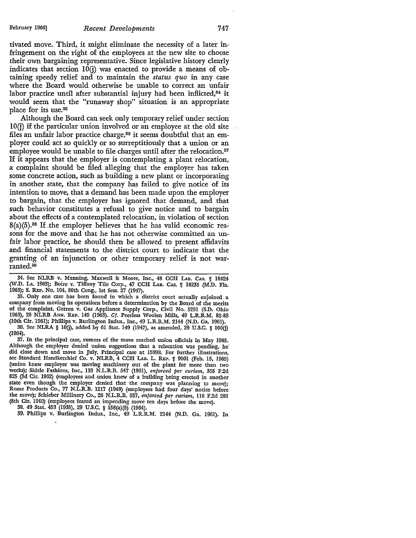#### February 1966] *Recent Developments* 747

tivated move. Third, it might eliminate the necessity of a later infringement on the right of the employees at the new site to choose their ovm bargaining representative. Since legislative history clearly indicates that section  $10(i)$  was enacted to provide a means of obtaining speedy relief and to maintain the *status quo* in any case where the Board would otherwise be unable to correct an unfair labor practice until after substantial injury had been inflicted,<sup>84</sup> it would seem that the "runaway shop" situation is an appropriate place for its use.85

Although the Board can seek only temporary relief under section  $10(i)$  if the particular union involved or an employee at the old site files an unfair labor practice charge,<sup>36</sup> it seems doubtful that an employer could act so quickly or so surreptitiously that a union or an employee would be unable to file charges until after the relocation.<sup>37</sup> If it appears that the employer is contemplating a plant relocation, a complaint should be filed alleging that the employer has taken some concrete action, such as building a new plant or incorporating in another state, that the company has failed to give notice of its intention to move, that a demand has been made upon the employer to bargain, that the employer has ignored that demand, and that such behavior constitutes a refusal to give notice and to bargain about the effects of a contemplated relocation, in violation of section  $8(a)(5).$ <sup>88</sup> If the employer believes that he has valid economic reasons for the move and· that he has not otherwise committed an unfair labor practice, he should then be allowed to present affidavits and financial statements to the district court to indicate that the granting of an injunction or other temporary relief is not warranted.89

35. Only one case has been found in which a district court actually enjoined a company from moving its operations before a determination by the Board of the merits of the complaint. Getreu v. Gas Appliance Supply Corp., Civil No. 5291 (S.D. Ohio 1963), 28 NLRB ANN. REP. 145 (1963). Cf. Peerless Woolen Mills, 49 L.R.R.M. 82-83 (10th Cir. 1961); Phillips v. Burlington Indus., Inc., 49 L.R.R.M. 2144 (N.D. Ga. 1961).

36. See NLRA § IO(j), added hy 61 Stat. 149 (1947), as amended, 29 U.S.C. § 160(j) (1964).

37. In the principal case, rumors of the move reached union officials in May 1963. Although the employer denied union suggestions that a relocation was pending, he did close down and move in July. Principal case at 15998. For further illustrations, see Standard Handkerchief Co. v. NLRB, 4 CCH LAB. L. REP. ¶ 9101 (Feb. 15, 1965) (union knew employer was moving machinery out of the plant for more than two weeks); Sidele Fashions, Inc., 133 N.L.R.B. 547 (1961), *enforced per curiam,* 305 F.2d 825 (3d Cir. 1962) (employees and union knew of a building being erected in another state even though the employer denied that the company was planning to move); Rome Products Co., 77 N.L.R.B. 1217 (1948) (employees had four days' notice before the move); Schieber Millinery Co., 26 N.L.R.B. 937, *enforced per curiam,* 116 F.2d 281 (8th Cir. 1940) (employees feared an impending move ten days before the move).

38. 49 Stat. 453 (1935), 29 U.S.C. § 158(a)(5) (1964).

39. Phillips v. Burlington Indus., Inc., 49 L.R.R.M. 2144 (N.D. Ga. 1961). In

<sup>34.</sup> See NLRB v. Manning, Maxwell & Moore, Inc., 48 CCH LAB. CAS. 1 18424 (W.D. La. 1963); Boire v. Tiffany Tile Corp., 47 CCH LAB. CAS. 1[ 18235 (M.D. Fla. 1963); S. REP. No. 104, 80th Cong., 1st Sess. 27 (1947).